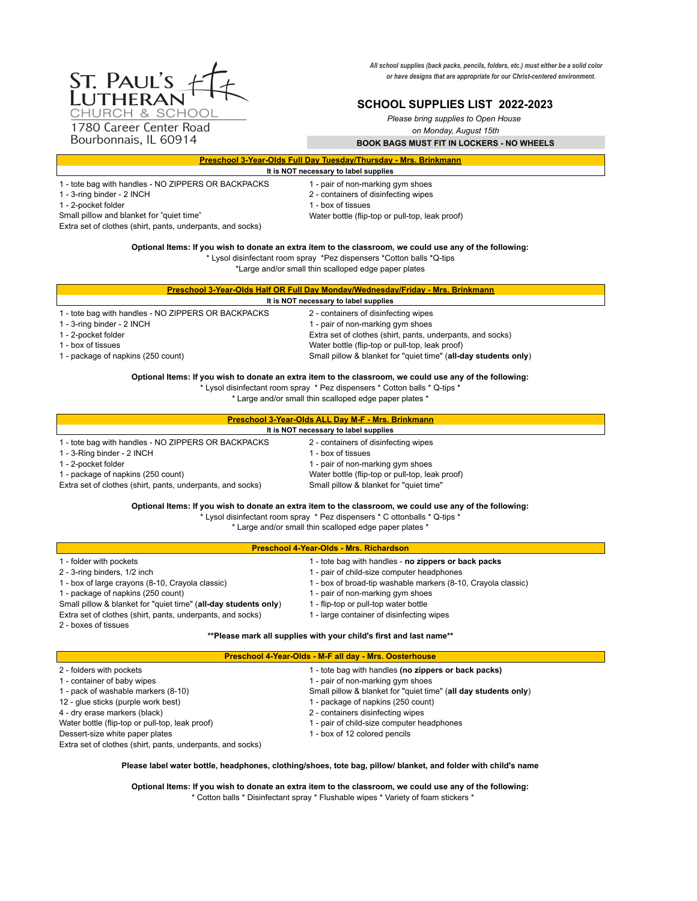*All school supplies (back packs, pencils, folders, etc.) must either be a solid color or have designs that are appropriate for our Christ-centered environment.* 

# **SCHOOL SUPPLIES LIST 2022-2023**

*Please bring supplies to Open House* 

*on Monday, August 15th*

**BOOK BAGS MUST FIT IN LOCKERS - NO WHEELS**

| <b>Preschool 3-Year-Olds Full Day Tuesday/Thursday - Mrs. Brinkmann</b> |  |
|-------------------------------------------------------------------------|--|
| It is NOT necessary to label supplies                                   |  |

1 - tote bag with handles - NO ZIPPERS OR BACKPACKS 1 - pair of non-marking gym shoes

- 
- 1 2-pocket folder
- 
- 1 3-ring binder 2 INCH<br>
1 2-pocket folder<br>
2 2-pocket folder<br>
2 2-pocket folder

Small pillow and blanket for "quiet time" Water bottle (flip-top or pull-top, leak proof)

Extra set of clothes (shirt, pants, underpants, and socks)

**Optional Items: If you wish to donate an extra item to the classroom, we could use any of the following:**

\* Lysol disinfectant room spray \*Pez dispensers \*Cotton balls \*Q-tips

\*Large and/or small thin scalloped edge paper plates

|                                                     | Preschool 3-Year-Olds Half OR Full Day Monday/Wednesday/Friday - Mrs. Brinkmann |
|-----------------------------------------------------|---------------------------------------------------------------------------------|
|                                                     | It is NOT necessary to label supplies                                           |
| 1 - tote bag with handles - NO ZIPPERS OR BACKPACKS | 2 - containers of disinfecting wipes                                            |
| 1 - 3-ring binder - 2 INCH                          | 1 - pair of non-marking gym shoes                                               |
| 1 - 2-pocket folder                                 | Extra set of clothes (shirt, pants, underpants, and socks)                      |
| 1 - box of tissues                                  | Water bottle (flip-top or pull-top, leak proof)                                 |
| 1 - package of napkins (250 count)                  | Small pillow & blanket for "quiet time" (all-day students only)                 |

**Optional Items: If you wish to donate an extra item to the classroom, we could use any of the following:**

\* Lysol disinfectant room spray \* Pez dispensers \* Cotton balls \* Q-tips \*

\* Large and/or small thin scalloped edge paper plates \*

|                                                            | <b>Preschool 3-Year-Olds ALL Day M-F - Mrs. Brinkmann</b> |
|------------------------------------------------------------|-----------------------------------------------------------|
|                                                            | It is NOT necessary to label supplies                     |
| I - tote bag with handles - NO ZIPPERS OR BACKPACKS        | 2 - containers of disinfecting wipes                      |
| 1 - 3-Ring binder - 2 INCH                                 | I - box of tissues                                        |
| 1 - 2-pocket folder                                        | 1 - pair of non-marking gym shoes                         |
| 1 - package of napkins (250 count)                         | Water bottle (flip-top or pull-top, leak proof)           |
| Extra set of clothes (shirt, pants, underpants, and socks) | Small pillow & blanket for "quiet time"                   |

**Optional Items: If you wish to donate an extra item to the classroom, we could use any of the following:**

\* Lysol disinfectant room spray \* Pez dispensers \* C ottonballs \* Q-tips \*

\* Large and/or small thin scalloped edge paper plates \*

| <b>Preschool 4-Year-Olds - Mrs. Richardson</b>                  |                                                             |  |
|-----------------------------------------------------------------|-------------------------------------------------------------|--|
| 1 - folder with pockets                                         | - tote bag with handles - no zippers or back packs          |  |
| 2 - 3-ring binders, 1/2 inch                                    | - pair of child-size computer headphones                    |  |
| 1 - box of large crayons (8-10, Crayola classic)                | - box of broad-tip washable markers (8-10, Crayola classic) |  |
| 1 - package of napkins (250 count)                              | - pair of non-marking gym shoes                             |  |
| Small pillow & blanket for "quiet time" (all-day students only) | - flip-top or pull-top water bottle                         |  |
| Extra set of clothes (shirt, pants, underpants, and socks)      | - large container of disinfecting wipes                     |  |

2 - boxes of tissues

# **\*\*Please mark all supplies with your child's first and last name\*\***

# **Preschool 4-Year-Olds - M-F all day - Mrs. Oosterhouse**

| 1 - tote bag with handles (no zippers or back packs)            |
|-----------------------------------------------------------------|
| 1 - pair of non-marking gym shoes                               |
| Small pillow & blanket for "quiet time" (all day students only) |
| 1 - package of napkins (250 count)                              |
| 2 - containers disinfecting wipes                               |
| 1 - pair of child-size computer headphones                      |
| 1 - box of 12 colored pencils                                   |
|                                                                 |
|                                                                 |

**Please label water bottle, headphones, clothing/shoes, tote bag, pillow/ blanket, and folder with child's name**

**Optional Items: If you wish to donate an extra item to the classroom, we could use any of the following:** \* Cotton balls \* Disinfectant spray \* Flushable wipes \* Variety of foam stickers \*

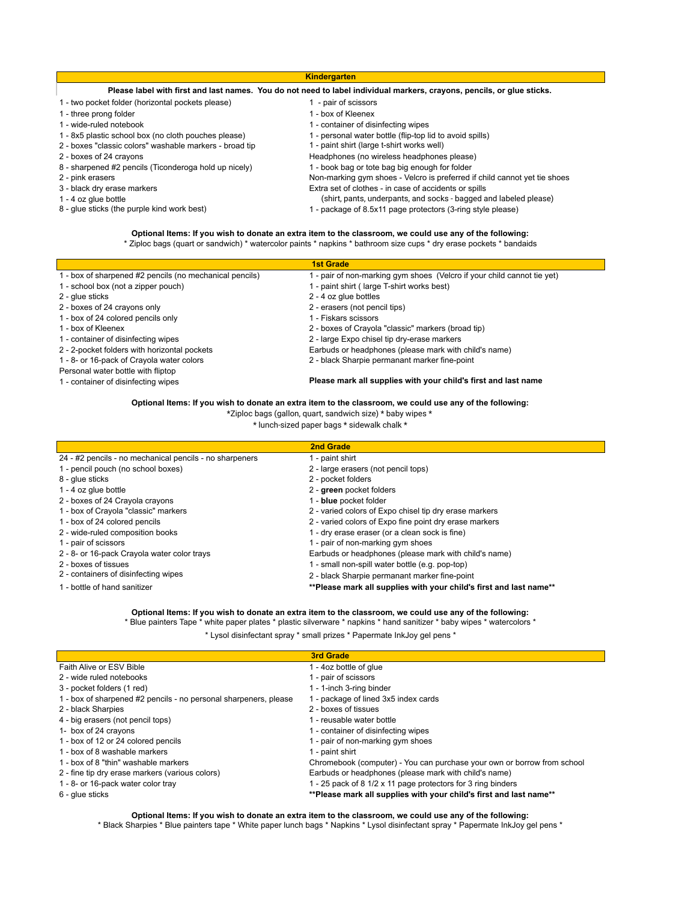|                                                         | <b>Kindergarten</b>                                                                                                    |
|---------------------------------------------------------|------------------------------------------------------------------------------------------------------------------------|
|                                                         | Please label with first and last names. You do not need to label individual markers, crayons, pencils, or glue sticks. |
| 1 - two pocket folder (horizontal pockets please)       | - pair of scissors                                                                                                     |
| 1 - three prong folder                                  | I - box of Kleenex                                                                                                     |
| 1 - wide-ruled notebook                                 | - container of disinfecting wipes                                                                                      |
| 1 - 8x5 plastic school box (no cloth pouches please)    | - personal water bottle (flip-top lid to avoid spills)                                                                 |
| 2 - boxes "classic colors" washable markers - broad tip | - paint shirt (large t-shirt works well)                                                                               |
| 2 - boxes of 24 crayons                                 | Headphones (no wireless headphones please)                                                                             |
| 8 - sharpened #2 pencils (Ticonderoga hold up nicely)   | 1 - book bag or tote bag big enough for folder                                                                         |
| 2 - pink erasers                                        | Non-marking gym shoes - Velcro is preferred if child cannot yet tie shoes                                              |
| 3 - black dry erase markers                             | Extra set of clothes - in case of accidents or spills                                                                  |
| $1 - 4$ oz glue bottle                                  | (shirt, pants, underpants, and socks - bagged and labeled please)                                                      |
| 8 - glue sticks (the purple kind work best)             | - package of 8.5x11 page protectors (3-ring style please)                                                              |

#### **Optional Items: If you wish to donate an extra item to the classroom, we could use any of the following:** \* Ziploc bags (quart or sandwich) \* watercolor paints \* napkins \* bathroom size cups \* dry erase pockets \* bandaids

|                                                         | <b>1st Grade</b>                                                        |
|---------------------------------------------------------|-------------------------------------------------------------------------|
| 1 - box of sharpened #2 pencils (no mechanical pencils) | 1 - pair of non-marking gym shoes (Velcro if your child cannot tie yet) |
| 1 - school box (not a zipper pouch)                     | 1 - paint shirt (large T-shirt works best)                              |
| 2 - glue sticks                                         | 2 - 4 oz glue bottles                                                   |
| 2 - boxes of 24 crayons only                            | 2 - erasers (not pencil tips)                                           |
| 1 - box of 24 colored pencils only                      | 1 - Fiskars scissors                                                    |
| 1 - box of Kleenex                                      | 2 - boxes of Crayola "classic" markers (broad tip)                      |
| 1 - container of disinfecting wipes                     | 2 - large Expo chisel tip dry-erase markers                             |
| 2 - 2-pocket folders with horizontal pockets            | Earbuds or headphones (please mark with child's name)                   |
| 1 - 8- or 16-pack of Crayola water colors               | 2 - black Sharpie permanant marker fine-point                           |
| Personal water bottle with fliptop                      |                                                                         |
| 1 - container of disinfecting wipes                     | Please mark all supplies with your child's first and last name          |

### **Optional Items: If you wish to donate an extra item to the classroom, we could use any of the following:**

\*Ziploc bags (gallon, quart, sandwich size) \* baby wipes \*

\* lunch-sized paper bags \* sidewalk chalk \*

|                                                         | 2nd Grade                                                          |
|---------------------------------------------------------|--------------------------------------------------------------------|
| 24 - #2 pencils - no mechanical pencils - no sharpeners | 1 - paint shirt                                                    |
| 1 - pencil pouch (no school boxes)                      | 2 - large erasers (not pencil tops)                                |
| 8 - glue sticks                                         | 2 - pocket folders                                                 |
| $1 - 4$ oz glue bottle                                  | 2 - green pocket folders                                           |
| 2 - boxes of 24 Crayola crayons                         | 1 - blue pocket folder                                             |
| 1 - box of Crayola "classic" markers                    | 2 - varied colors of Expo chisel tip dry erase markers             |
| 1 - box of 24 colored pencils                           | 2 - varied colors of Expo fine point dry erase markers             |
| 2 - wide-ruled composition books                        | 1 - dry erase eraser (or a clean sock is fine)                     |
| 1 - pair of scissors                                    | 1 - pair of non-marking gym shoes                                  |
| 2 - 8- or 16-pack Crayola water color trays             | Earbuds or headphones (please mark with child's name)              |
| 2 - boxes of tissues                                    | 1 - small non-spill water bottle (e.g. pop-top)                    |
| 2 - containers of disinfecting wipes                    | 2 - black Sharpie permanant marker fine-point                      |
| 1 - bottle of hand sanitizer                            | **Please mark all supplies with your child's first and last name** |

## **Optional Items: If you wish to donate an extra item to the classroom, we could use any of the following:**

\* Blue painters Tape \* white paper plates \* plastic silverware \* napkins \* hand sanitizer \* baby wipes \* watercolors \*

\* Lysol disinfectant spray \* small prizes \* Papermate InkJoy gel pens \*

|                                                                  | <b>3rd Grade</b>                                                        |
|------------------------------------------------------------------|-------------------------------------------------------------------------|
| Faith Alive or ESV Bible                                         | 1 - 4oz bottle of glue                                                  |
| 2 - wide ruled notebooks                                         | 1 - pair of scissors                                                    |
| 3 - pocket folders (1 red)                                       | 1 - 1-inch 3-ring binder                                                |
| 1 - box of sharpened #2 pencils - no personal sharpeners, please | 1 - package of lined 3x5 index cards                                    |
| 2 - black Sharpies                                               | 2 - boxes of tissues                                                    |
| 4 - big erasers (not pencil tops)                                | 1 - reusable water bottle                                               |
| 1- box of 24 crayons                                             | 1 - container of disinfecting wipes                                     |
| 1 - box of 12 or 24 colored pencils                              | 1 - pair of non-marking gym shoes                                       |
| 1 - box of 8 washable markers                                    | 1 - paint shirt                                                         |
| 1 - box of 8 "thin" washable markers                             | Chromebook (computer) - You can purchase your own or borrow from school |
| 2 - fine tip dry erase markers (various colors)                  | Earbuds or headphones (please mark with child's name)                   |
| 1 - 8- or 16-pack water color tray                               | 1 - 25 pack of 8 1/2 x 11 page protectors for 3 ring binders            |
| 6 - glue sticks                                                  | **Please mark all supplies with your child's first and last name**      |

### **Optional Items: If you wish to donate an extra item to the classroom, we could use any of the following:**

\* Black Sharpies \* Blue painters tape \* White paper lunch bags \* Napkins \* Lysol disinfectant spray \* Papermate InkJoy gel pens \*